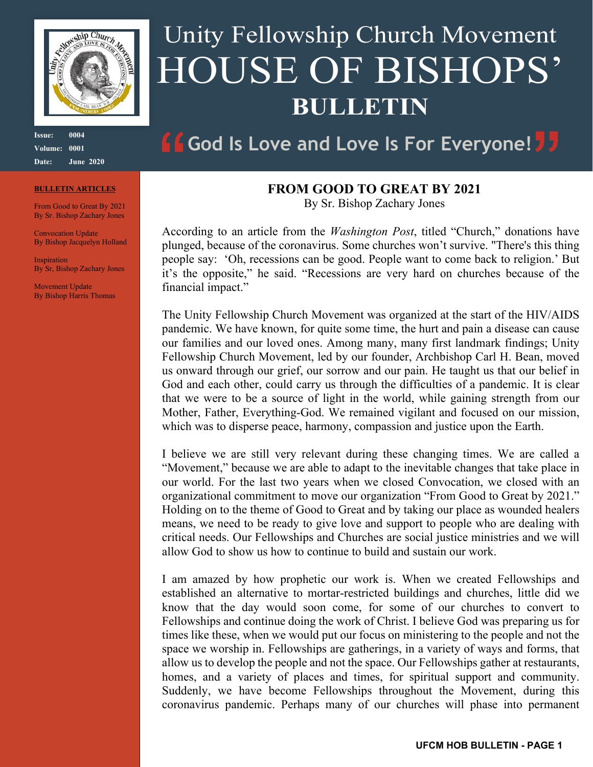

**Issue: 0004 Volume: 0001 Date: June 2020**

#### **BULLETIN ARTICLES**

From Good to Great By 2021 By Sr. Bishop Zachary Jones

Convocation Update By Bishop Jacquelyn Holland

**Inspiration** By Sr, Bishop Zachary Jones

Movement Update By Bishop Harris Thomas

# Unity Fellowship Church Movement HOUSE OF BISHOPS' **BULLETIN**

## **God Is Love and Love Is For Everyone!**

#### **FROM GOOD TO GREAT BY 2021**

By Sr. Bishop Zachary Jones

According to an article from the *Washington Post*, titled "Church," donations have plunged, because of the coronavirus. Some churches won't survive. "There's this thing people say: 'Oh, recessions can be good. People want to come back to religion.' But it's the opposite," he said. "Recessions are very hard on churches because of the financial impact."

The Unity Fellowship Church Movement was organized at the start of the HIV/AIDS pandemic. We have known, for quite some time, the hurt and pain a disease can cause our families and our loved ones. Among many, many first landmark findings; Unity Fellowship Church Movement, led by our founder, Archbishop Carl H. Bean, moved us onward through our grief, our sorrow and our pain. He taught us that our belief in God and each other, could carry us through the difficulties of a pandemic. It is clear that we were to be a source of light in the world, while gaining strength from our Mother, Father, Everything-God. We remained vigilant and focused on our mission, which was to disperse peace, harmony, compassion and justice upon the Earth.

I believe we are still very relevant during these changing times. We are called a "Movement," because we are able to adapt to the inevitable changes that take place in our world. For the last two years when we closed Convocation, we closed with an organizational commitment to move our organization "From Good to Great by 2021." Holding on to the theme of Good to Great and by taking our place as wounded healers means, we need to be ready to give love and support to people who are dealing with critical needs. Our Fellowships and Churches are social justice ministries and we will allow God to show us how to continue to build and sustain our work.

I am amazed by how prophetic our work is. When we created Fellowships and established an alternative to mortar-restricted buildings and churches, little did we know that the day would soon come, for some of our churches to convert to Fellowships and continue doing the work of Christ. I believe God was preparing us for times like these, when we would put our focus on ministering to the people and not the space we worship in. Fellowships are gatherings, in a variety of ways and forms, that allow us to develop the people and not the space. Our Fellowships gather at restaurants, homes, and a variety of places and times, for spiritual support and community. Suddenly, we have become Fellowships throughout the Movement, during this coronavirus pandemic. Perhaps many of our churches will phase into permanent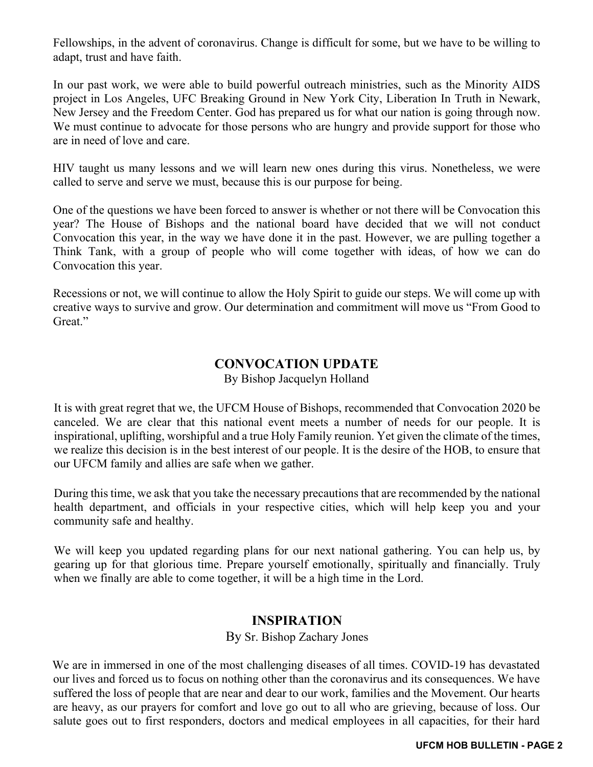Fellowships, in the advent of coronavirus. Change is difficult for some, but we have to be willing to adapt, trust and have faith.

In our past work, we were able to build powerful outreach ministries, such as the Minority AIDS project in Los Angeles, UFC Breaking Ground in New York City, Liberation In Truth in Newark, New Jersey and the Freedom Center. God has prepared us for what our nation is going through now. We must continue to advocate for those persons who are hungry and provide support for those who are in need of love and care.

HIV taught us many lessons and we will learn new ones during this virus. Nonetheless, we were called to serve and serve we must, because this is our purpose for being.

One of the questions we have been forced to answer is whether or not there will be Convocation this year? The House of Bishops and the national board have decided that we will not conduct Convocation this year, in the way we have done it in the past. However, we are pulling together a Think Tank, with a group of people who will come together with ideas, of how we can do Convocation this year.

Recessions or not, we will continue to allow the Holy Spirit to guide our steps. We will come up with creative ways to survive and grow. Our determination and commitment will move us "From Good to Great."

### **CONVOCATION UPDATE**

By Bishop Jacquelyn Holland

It is with great regret that we, the UFCM House of Bishops, recommended that Convocation 2020 be canceled. We are clear that this national event meets a number of needs for our people. It is inspirational, uplifting, worshipful and a true Holy Family reunion. Yet given the climate of the times, we realize this decision is in the best interest of our people. It is the desire of the HOB, to ensure that our UFCM family and allies are safe when we gather.

During this time, we ask that you take the necessary precautions that are recommended by the national health department, and officials in your respective cities, which will help keep you and your community safe and healthy.

We will keep you updated regarding plans for our next national gathering. You can help us, by gearing up for that glorious time. Prepare yourself emotionally, spiritually and financially. Truly when we finally are able to come together, it will be a high time in the Lord.

#### **INSPIRATION**

#### By Sr. Bishop Zachary Jones

We are in immersed in one of the most challenging diseases of all times. COVID-19 has devastated our lives and forced us to focus on nothing other than the coronavirus and its consequences. We have suffered the loss of people that are near and dear to our work, families and the Movement. Our hearts are heavy, as our prayers for comfort and love go out to all who are grieving, because of loss. Our salute goes out to first responders, doctors and medical employees in all capacities, for their hard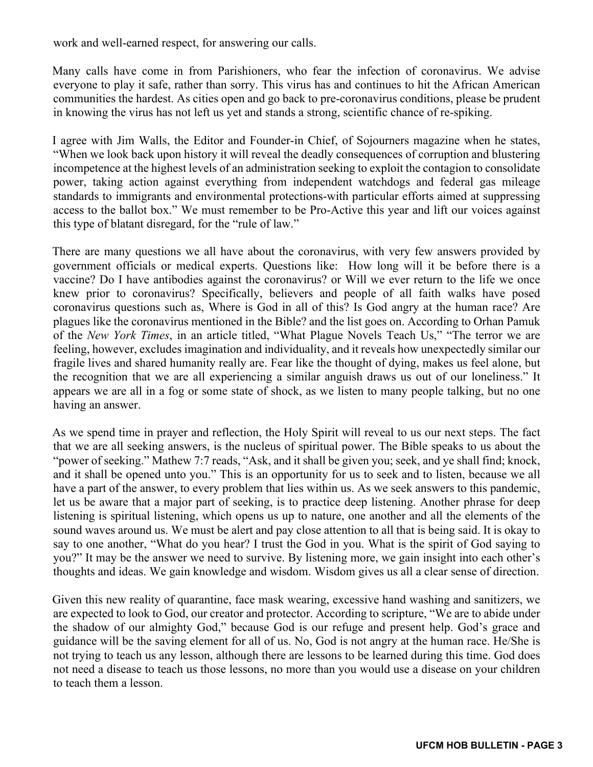work and well-earned respect, for answering our calls.

Many calls have come in from Parishioners, who fear the infection of coronavirus. We advise everyone to play it safe, rather than sorry. This virus has and continues to hit the African American communities the hardest. As cities open and go back to pre-coronavirus conditions, please be prudent in knowing the virus has not left us yet and stands a strong, scientific chance of re-spiking.

I agree with Jim Walls, the Editor and Founder-in Chief, of Sojourners magazine when he states, "When we look back upon history it will reveal the deadly consequences of corruption and blustering incompetence at the highest levels of an administration seeking to exploit the contagion to consolidate power, taking action against everything from independent watchdogs and federal gas mileage standards to immigrants and environmental protections-with particular efforts aimed at suppressing access to the ballot box." We must remember to be Pro-Active this year and lift our voices against this type of blatant disregard, for the "rule of law."

There are many questions we all have about the coronavirus, with very few answers provided by government officials or medical experts. Questions like: How long will it be before there is a vaccine? Do I have antibodies against the coronavirus? or Will we ever return to the life we once knew prior to coronavirus? Specifically, believers and people of all faith walks have posed coronavirus questions such as, Where is God in all of this? Is God angry at the human race? Are plagues like the coronavirus mentioned in the Bible? and the list goes on. According to Orhan Pamuk of the *New York Times*, in an article titled, "What Plague Novels Teach Us," "The terror we are feeling, however, excludes imagination and individuality, and it reveals how unexpectedly similar our fragile lives and shared humanity really are. Fear like the thought of dying, makes us feel alone, but the recognition that we are all experiencing a similar anguish draws us out of our loneliness." It appears we are all in a fog or some state of shock, as we listen to many people talking, but no one having an answer.

As we spend time in prayer and reflection, the Holy Spirit will reveal to us our next steps. The fact that we are all seeking answers, is the nucleus of spiritual power. The Bible speaks to us about the "power of seeking." Mathew 7:7 reads, "Ask, and it shall be given you; seek, and ye shall find; knock, and it shall be opened unto you." This is an opportunity for us to seek and to listen, because we all have a part of the answer, to every problem that lies within us. As we seek answers to this pandemic, let us be aware that a major part of seeking, is to practice deep listening. Another phrase for deep listening is spiritual listening, which opens us up to nature, one another and all the elements of the sound waves around us. We must be alert and pay close attention to all that is being said. It is okay to say to one another, "What do you hear? I trust the God in you. What is the spirit of God saying to you?" It may be the answer we need to survive. By listening more, we gain insight into each other's thoughts and ideas. We gain knowledge and wisdom. Wisdom gives us all a clear sense of direction.

Given this new reality of quarantine, face mask wearing, excessive hand washing and sanitizers, we are expected to look to God, our creator and protector. According to scripture, "We are to abide under the shadow of our almighty God," because God is our refuge and present help. God's grace and guidance will be the saving element for all of us. No, God is not angry at the human race. He/She is not trying to teach us any lesson, although there are lessons to be learned during this time. God does not need a disease to teach us those lessons, no more than you would use a disease on your children to teach them a lesson.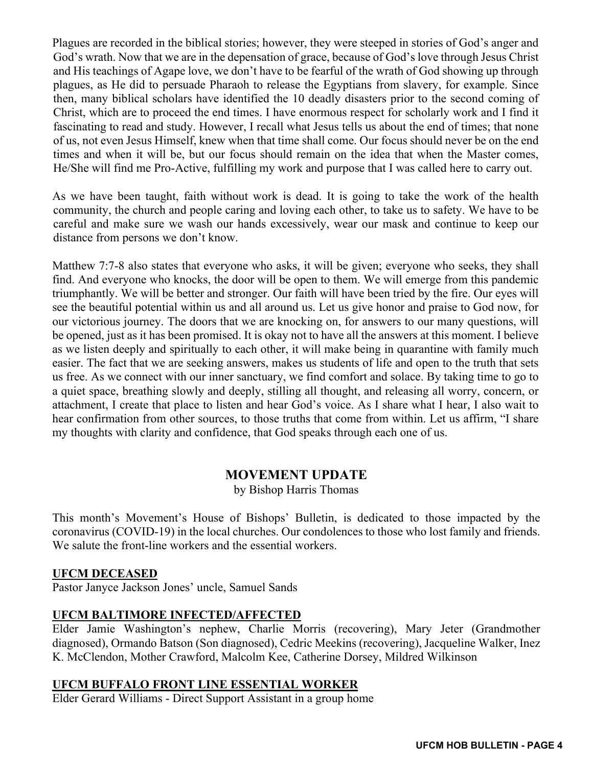Plagues are recorded in the biblical stories; however, they were steeped in stories of God's anger and God's wrath. Now that we are in the depensation of grace, because of God's love through Jesus Christ and His teachings of Agape love, we don't have to be fearful of the wrath of God showing up through plagues, as He did to persuade Pharaoh to release the Egyptians from slavery, for example. Since then, many biblical scholars have identified the 10 deadly disasters prior to the second coming of Christ, which are to proceed the end times. I have enormous respect for scholarly work and I find it fascinating to read and study. However, I recall what Jesus tells us about the end of times; that none of us, not even Jesus Himself, knew when that time shall come. Our focus should never be on the end times and when it will be, but our focus should remain on the idea that when the Master comes, He/She will find me Pro-Active, fulfilling my work and purpose that I was called here to carry out.

As we have been taught, faith without work is dead. It is going to take the work of the health community, the church and people caring and loving each other, to take us to safety. We have to be careful and make sure we wash our hands excessively, wear our mask and continue to keep our distance from persons we don't know.

Matthew 7:7-8 also states that everyone who asks, it will be given; everyone who seeks, they shall find. And everyone who knocks, the door will be open to them. We will emerge from this pandemic triumphantly. We will be better and stronger. Our faith will have been tried by the fire. Our eyes will see the beautiful potential within us and all around us. Let us give honor and praise to God now, for our victorious journey. The doors that we are knocking on, for answers to our many questions, will be opened, just as it has been promised. It is okay not to have all the answers at this moment. I believe as we listen deeply and spiritually to each other, it will make being in quarantine with family much easier. The fact that we are seeking answers, makes us students of life and open to the truth that sets us free. As we connect with our inner sanctuary, we find comfort and solace. By taking time to go to a quiet space, breathing slowly and deeply, stilling all thought, and releasing all worry, concern, or attachment, I create that place to listen and hear God's voice. As I share what I hear, I also wait to hear confirmation from other sources, to those truths that come from within. Let us affirm, "I share my thoughts with clarity and confidence, that God speaks through each one of us.

### **MOVEMENT UPDATE**

by Bishop Harris Thomas

This month's Movement's House of Bishops' Bulletin, is dedicated to those impacted by the coronavirus (COVID-19) in the local churches. Our condolences to those who lost family and friends. We salute the front-line workers and the essential workers.

#### **UFCM DECEASED**

Pastor Janyce Jackson Jones' uncle, Samuel Sands

#### **UFCM BALTIMORE INFECTED/AFFECTED**

Elder Jamie Washington's nephew, Charlie Morris (recovering), Mary Jeter (Grandmother diagnosed), Ormando Batson (Son diagnosed), Cedric Meekins (recovering), Jacqueline Walker, Inez K. McClendon, Mother Crawford, Malcolm Kee, Catherine Dorsey, Mildred Wilkinson

#### **UFCM BUFFALO FRONT LINE ESSENTIAL WORKER**

Elder Gerard Williams - Direct Support Assistant in a group home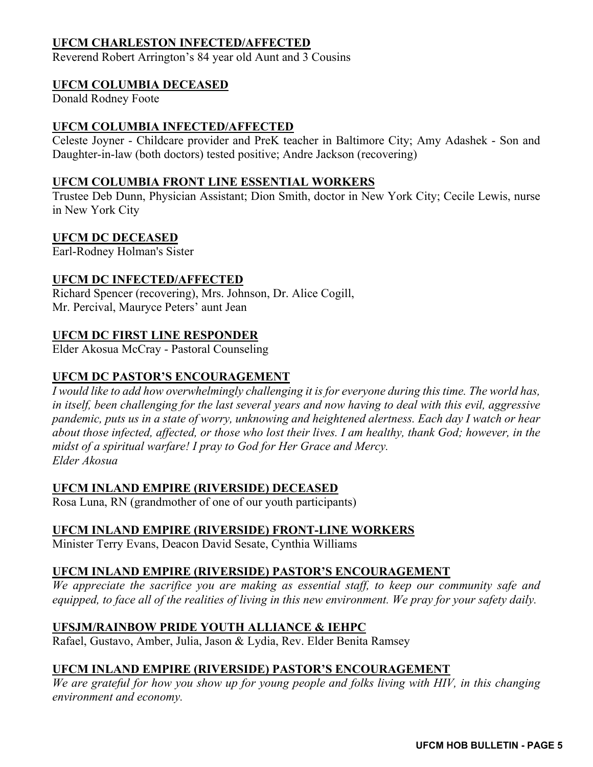#### **UFCM CHARLESTON INFECTED/AFFECTED**

Reverend Robert Arrington's 84 year old Aunt and 3 Cousins

#### **UFCM COLUMBIA DECEASED**

Donald Rodney Foote

#### **UFCM COLUMBIA INFECTED/AFFECTED**

Celeste Joyner - Childcare provider and PreK teacher in Baltimore City; Amy Adashek - Son and Daughter-in-law (both doctors) tested positive; Andre Jackson (recovering)

#### **UFCM COLUMBIA FRONT LINE ESSENTIAL WORKERS**

Trustee Deb Dunn, Physician Assistant; Dion Smith, doctor in New York City; Cecile Lewis, nurse in New York City

#### **UFCM DC DECEASED**

Earl-Rodney Holman's Sister

#### **UFCM DC INFECTED/AFFECTED**

Richard Spencer (recovering), Mrs. Johnson, Dr. Alice Cogill, Mr. Percival, Mauryce Peters' aunt Jean

#### **UFCM DC FIRST LINE RESPONDER**

Elder Akosua McCray - Pastoral Counseling

#### **UFCM DC PASTOR'S ENCOURAGEMENT**

*I would like to add how overwhelmingly challenging it is for everyone during this time. The world has, in itself, been challenging for the last several years and now having to deal with this evil, aggressive pandemic, puts us in a state of worry, unknowing and heightened alertness. Each day I watch or hear about those infected, affected, or those who lost their lives. I am healthy, thank God; however, in the midst of a spiritual warfare! I pray to God for Her Grace and Mercy. Elder Akosua*

#### **UFCM INLAND EMPIRE (RIVERSIDE) DECEASED**

Rosa Luna, RN (grandmother of one of our youth participants)

#### **UFCM INLAND EMPIRE (RIVERSIDE) FRONT-LINE WORKERS**

Minister Terry Evans, Deacon David Sesate, Cynthia Williams

#### **UFCM INLAND EMPIRE (RIVERSIDE) PASTOR'S ENCOURAGEMENT**

*We appreciate the sacrifice you are making as essential staff, to keep our community safe and equipped, to face all of the realities of living in this new environment. We pray for your safety daily.*

#### **UFSJM/RAINBOW PRIDE YOUTH ALLIANCE & IEHPC**

Rafael, Gustavo, Amber, Julia, Jason & Lydia, Rev. Elder Benita Ramsey

#### **UFCM INLAND EMPIRE (RIVERSIDE) PASTOR'S ENCOURAGEMENT**

*We are grateful for how you show up for young people and folks living with HIV, in this changing environment and economy.*